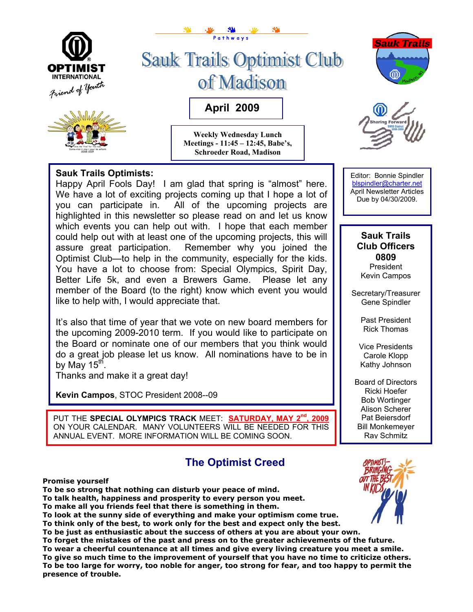

#### **Sauk Trails Optimists:**

Happy April Fools Day! I am glad that spring is "almost" here. We have a lot of exciting projects coming up that I hope a lot of you can participate in. All of the upcoming projects are highlighted in this newsletter so please read on and let us know which events you can help out with. I hope that each member could help out with at least one of the upcoming projects, this will assure great participation. Remember why you joined the Optimist Club—to help in the community, especially for the kids. You have a lot to choose from: Special Olympics, Spirit Day, Better Life 5k, and even a Brewers Game. Please let any member of the Board (to the right) know which event you would like to help with, I would appreciate that.

It's also that time of year that we vote on new board members for the upcoming 2009-2010 term. If you would like to participate on the Board or nominate one of our members that you think would do a great job please let us know. All nominations have to be in by May 15 $^{\sf th}$ .

Thanks and make it a great day!

**Kevin Campos**, STOC President 2008--09

PUT THE **SPECIAL OLYMPICS TRACK** MEET: **SATURDAY, MAY 2nd , 2009** ON YOUR CALENDAR. MANY VOLUNTEERS WILL BE NEEDED FOR THIS ANNUAL EVENT. MORE INFORMATION WILL BE COMING SOON.

## **The Optimist Creed**

**Promise yourself** 

**To be so strong that nothing can disturb your peace of mind.** 

**To talk health, happiness and prosperity to every person you meet.** 

**To make all you friends feel that there is something in them.** 

**To look at the sunny side of everything and make your optimism come true. To think only of the best, to work only for the best and expect only the best.** 

**To be just as enthusiastic about the success of others at you are about your own.** 

**To forget the mistakes of the past and press on to the greater achievements of the future. To wear a cheerful countenance at all times and give every living creature you meet a smile. To give so much time to the improvement of yourself that you have no time to criticize others. To be too large for worry, too noble for anger, too strong for fear, and too happy to permit the presence of trouble.**

Editor: Bonnie Spindler [blspindler@charter.net](mailto:blspindler@charter.net)  April Newsletter Articles Due by 04/30/2009.

#### **Sauk Trails Club Officers 0809**  President

Kevin Campos

Secretary/Treasurer Gene Spindler

> Past President Rick Thomas

Vice Presidents Carole Klopp Kathy Johnson

Board of Directors Ricki Hoefer Bob Wortinger Alison Scherer Pat Beiersdorf Bill Monkemeyer Ray Schmitz

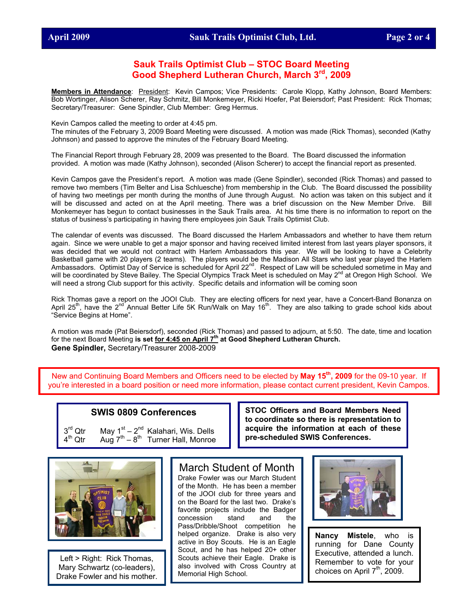#### **Sauk Trails Optimist Club – STOC Board Meeting Good Shepherd Lutheran Church, March 3rd, 2009**

**Members in Attendance**: President: Kevin Campos; Vice Presidents: Carole Klopp, Kathy Johnson, Board Members: Bob Wortinger, Alison Scherer, Ray Schmitz, Bill Monkemeyer, Ricki Hoefer, Pat Beiersdorf; Past President: Rick Thomas; Secretary/Treasurer: Gene Spindler, Club Member: Greg Hermus.

Kevin Campos called the meeting to order at 4:45 pm.

The minutes of the February 3, 2009 Board Meeting were discussed. A motion was made (Rick Thomas), seconded (Kathy Johnson) and passed to approve the minutes of the February Board Meeting.

The Financial Report through February 28, 2009 was presented to the Board. The Board discussed the information provided. A motion was made (Kathy Johnson), seconded (Alison Scherer) to accept the financial report as presented.

Kevin Campos gave the President's report. A motion was made (Gene Spindler), seconded (Rick Thomas) and passed to remove two members (Tim Belter and Lisa Schluesche) from membership in the Club. The Board discussed the possibility of having two meetings per month during the months of June through August. No action was taken on this subject and it will be discussed and acted on at the April meeting. There was a brief discussion on the New Member Drive. Bill Monkemeyer has begun to contact businesses in the Sauk Trails area. At his time there is no information to report on the status of business's participating in having there employees join Sauk Trails Optimist Club.

The calendar of events was discussed. The Board discussed the Harlem Ambassadors and whether to have them return again. Since we were unable to get a major sponsor and having received limited interest from last years player sponsors, it was decided that we would not contract with Harlem Ambassadors this year. We will be looking to have a Celebrity Basketball game with 20 players (2 teams). The players would be the Madison All Stars who last year played the Harlem Ambassadors. Optimist Day of Service is scheduled for April 22<sup>nd</sup>. Respect of Law will be scheduled sometime in May and will be coordinated by Steve Bailey. The Special Olympics Track Meet is scheduled on May 2<sup>nd</sup> at Oregon High School. We will need a strong Club support for this activity. Specific details and information will be coming soon

Rick Thomas gave a report on the JOOI Club. They are electing officers for next year, have a Concert-Band Bonanza on April 25<sup>th</sup>, have the 2<sup>nd Annual Better Life 5K Run/Walk on May 16<sup>th</sup>. They are also talking to grade school kids about</sup> "Service Begins at Home".

A motion was made (Pat Beiersdorf), seconded (Rick Thomas) and passed to adjourn, at 5:50. The date, time and location for the next Board Meeting **is set for 4:45 on April 7th at Good Shepherd Lutheran Church. Gene Spindler,** Secretary/Treasurer 2008-2009

New and Continuing Board Members and Officers need to be elected by **May 15th, 2009** for the 09-10 year. If you're interested in a board position or need more information, please contact current president, Kevin Campos.

#### **SWIS 0809 Conferences**

 $3<sup>rd</sup>$  Qtr<br>4<sup>th</sup> Otr Qtr May  $1<sup>st</sup> - 2<sup>nd</sup>$  Kalahari, Wis. Dells Aug  $7<sup>th</sup> - 8<sup>th</sup>$  Turner Hall, Monroe



Left > Right: Rick Thomas, Mary Schwartz (co-leaders), Drake Fowler and his mother.

#### March Student of Month

Drake Fowler was our March Student of the Month. He has been a member of the JOOI club for three years and on the Board for the last two. Drake's favorite projects include the Badger concession stand and the Pass/Dribble/Shoot competition he helped organize. Drake is also very active in Boy Scouts. He is an Eagle Scout, and he has helped 20+ other Scouts achieve their Eagle. Drake is also involved with Cross Country at Memorial High School.



**STOC Officers and Board Members Need to coordinate so there is representation to acquire the information at each of these**

**pre-scheduled SWIS Conferences.** 

**Nancy Mistele**, who is running for Dane County Executive, attended a lunch. Remember to vote for your choices on April  $7<sup>th</sup>$ , 2009.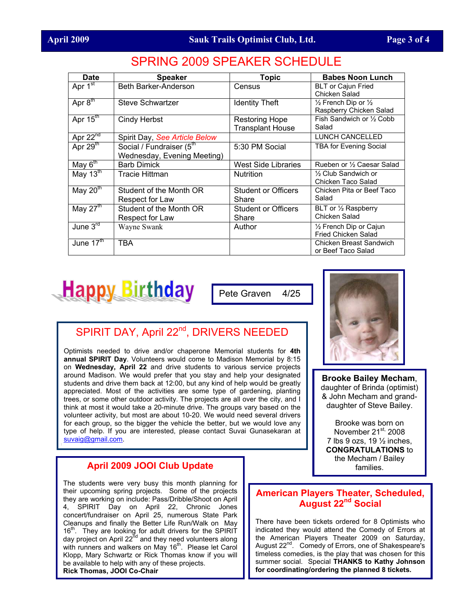| <b>Date</b>                         | <b>Speaker</b>                                                      | <b>Topic</b>                              | <b>Babes Noon Lunch</b>                                              |
|-------------------------------------|---------------------------------------------------------------------|-------------------------------------------|----------------------------------------------------------------------|
| Apr $1st$                           | Beth Barker-Anderson                                                | Census                                    | <b>BLT or Cajun Fried</b><br>Chicken Salad                           |
| Apr $\overline{8}^{\overline{m}}$   | Steve Schwartzer                                                    | <b>Identity Theft</b>                     | $\frac{1}{2}$ French Dip or $\frac{1}{2}$<br>Raspberry Chicken Salad |
| Apr $15^{\text{th}}$                | Cindy Herbst                                                        | Restoring Hope<br><b>Transplant House</b> | Fish Sandwich or 1/2 Cobb<br>Salad                                   |
| Apr $22^{\overline{nd}}$            | Spirit Day, See Article Below                                       |                                           | LUNCH CANCELLED                                                      |
| Apr $29th$                          | Social / Fundraiser (5 <sup>th</sup><br>Wednesday, Evening Meeting) | 5:30 PM Social                            | <b>TBA for Evening Social</b>                                        |
| May $6^{\text{th}}$                 | <b>Barb Dimick</b>                                                  | <b>West Side Libraries</b>                | Rueben or 1/2 Caesar Salad                                           |
| May $13^{\text{th}}$                | Tracie Hittman                                                      | <b>Nutrition</b>                          | 1/2 Club Sandwich or<br>Chicken Taco Salad                           |
| May $20th$                          | Student of the Month OR<br>Respect for Law                          | Student or Officers<br>Share              | Chicken Pita or Beef Taco<br>Salad                                   |
| May $27^{\text{th}}$                | Student of the Month OR<br>Respect for Law                          | Student or Officers<br>Share              | BLT or 1/2 Raspberry<br>Chicken Salad                                |
| June $3^{\overline{r}\overline{d}}$ | Wayne Swank                                                         | Author                                    | 1/2 French Dip or Cajun<br>Fried Chicken Salad                       |
| June $\overline{17}^{\text{th}}$    | <b>TBA</b>                                                          |                                           | Chicken Breast Sandwich<br>or Beef Taco Salad                        |

## SPRING 2009 SPEAKER SCHEDULE



Pete Graven 4/25

# SPIRIT DAY, April 22<sup>nd</sup>, DRIVERS NEEDED

Optimists needed to drive and/or chaperone Memorial students for **4th annual SPIRIT Day**. Volunteers would come to Madison Memorial by 8:15 on **Wednesday, April 22** and drive students to various service projects around Madison. We would prefer that you stay and help your designated students and drive them back at 12:00, but any kind of help would be greatly appreciated. Most of the activities are some type of gardening, planting trees, or some other outdoor activity. The projects are all over the city, and I think at most it would take a 20-minute drive. The groups vary based on the volunteer activity, but most are about 10-20. We would need several drivers for each group, so the bigger the vehicle the better, but we would love any type of help. If you are interested, please contact Suvai Gunasekaran at [suvaig@gmail.com.](mailto:suvaig@gmail.com)

#### **April 2009 JOOI Club Update**

The students were very busy this month planning for their upcoming spring projects. Some of the projects they are working on include: Pass/Dribble/Shoot on April 4, SPIRIT Day on April 22, Chronic Jones concert/fundraiser on April 25, numerous State Park Cleanups and finally the Better Life Run/Walk on May  $16<sup>th</sup>$ . They are looking for adult drivers for the SPIRIT day project on April 22<sup>nd</sup> and they need volunteers along with runners and walkers on May 16<sup>th</sup>. Please let Carol Klopp, Mary Schwartz or Rick Thomas know if you will be available to help with any of these projects. **Rick Thomas, JOOI Co-Chair**



**Brooke Bailey Mecham**, daughter of Brinda (optimist) & John Mecham and granddaughter of Steve Bailey.

Brooke was born on November  $21^{st}$ , 2008 7 lbs 9 ozs, 19  $\frac{1}{2}$  inches, **CONGRATULATIONS** to the Mecham / Bailey families.

### **American Players Theater, Scheduled, August 22nd Social**

There have been tickets ordered for 8 Optimists who indicated they would attend the Comedy of Errors at the American Players Theater 2009 on Saturday, August 22<sup>nd</sup>. Comedy of Errors, one of Shakespeare's timeless comedies, is the play that was chosen for this summer social. Special **THANKS to Kathy Johnson for coordinating/ordering the planned 8 tickets.**